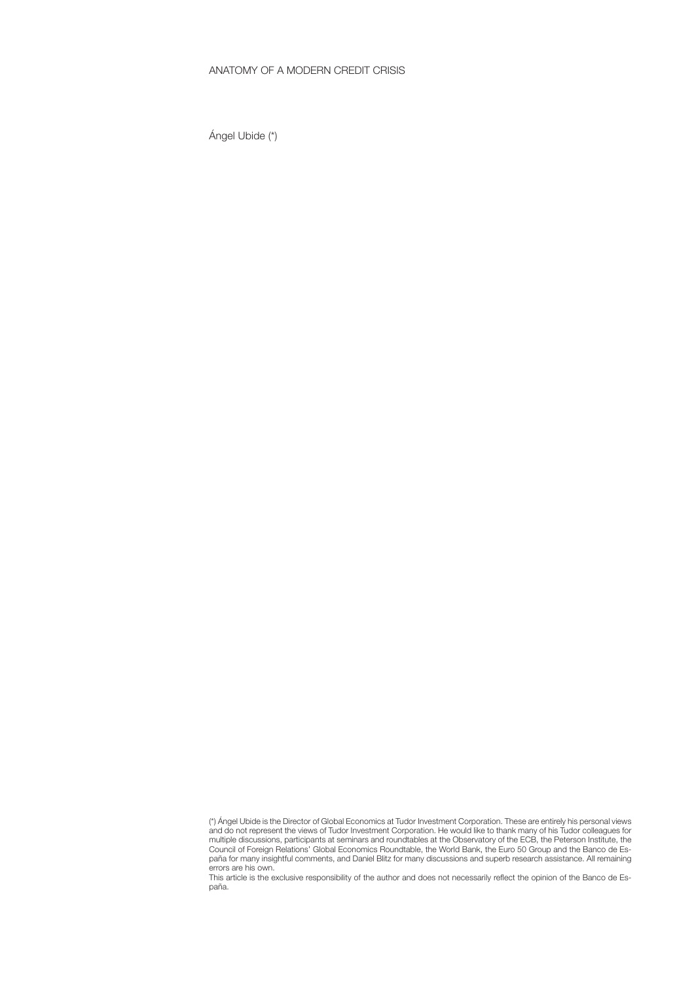# ANATOMY OF A MODERN CREDIT CRISIS

Ángel Ubide (\*)

This article is the exclusive responsibility of the author and does not necessarily reflect the opinion of the Banco de España.

<sup>(\*)</sup> Ángel Ubide is the Director of Global Economics at Tudor Investment Corporation. These are entirely his personal views and do not represent the views of Tudor Investment Corporation. He would like to thank many of his Tudor colleagues for multiple discussions, participants at seminars and roundtables at the Observatory of the ECB, the Peterson Institute, the Council of Foreign Relations' Global Economics Roundtable, the World Bank, the Euro 50 Group and the Banco de España for many insightful comments, and Daniel Blitz for many discussions and superb research assistance. All remaining errors are his own.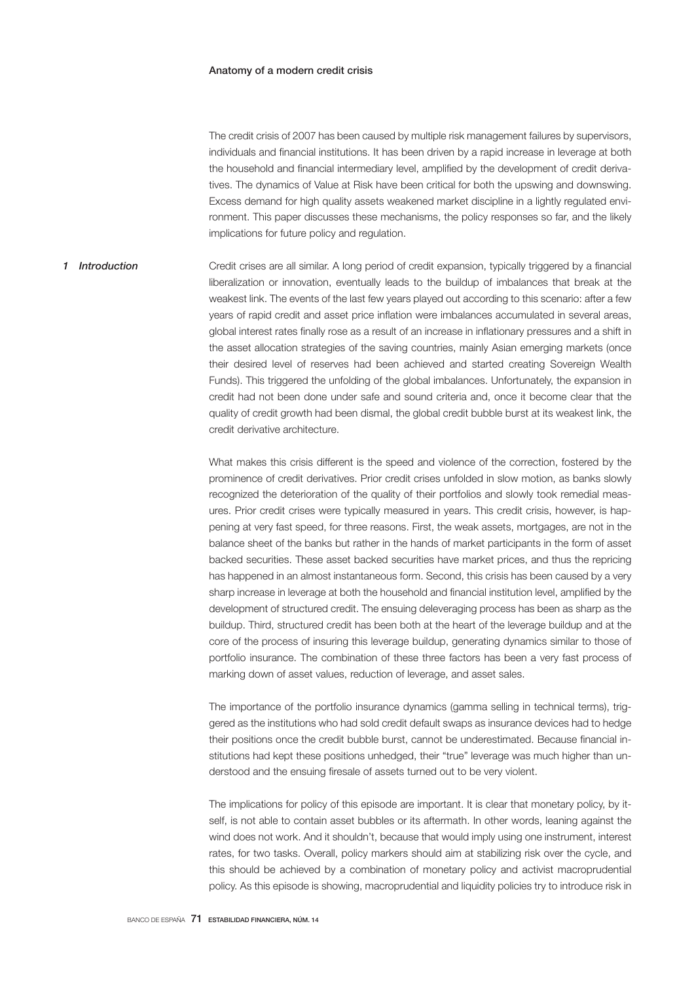#### Anatomy of a modern credit crisis

The credit crisis of 2007 has been caused by multiple risk management failures by supervisors, individuals and financial institutions. It has been driven by a rapid increase in leverage at both the household and financial intermediary level, amplified by the development of credit derivatives. The dynamics of Value at Risk have been critical for both the upswing and downswing. Excess demand for high quality assets weakened market discipline in a lightly regulated environment. This paper discusses these mechanisms, the policy responses so far, and the likely implications for future policy and regulation.

Credit crises are all similar. A long period of credit expansion, typically triggered by a financial liberalization or innovation, eventually leads to the buildup of imbalances that break at the weakest link. The events of the last few years played out according to this scenario: after a few years of rapid credit and asset price inflation were imbalances accumulated in several areas, global interest rates finally rose as a result of an increase in inflationary pressures and a shift in the asset allocation strategies of the saving countries, mainly Asian emerging markets (once their desired level of reserves had been achieved and started creating Sovereign Wealth Funds). This triggered the unfolding of the global imbalances. Unfortunately, the expansion in credit had not been done under safe and sound criteria and, once it become clear that the quality of credit growth had been dismal, the global credit bubble burst at its weakest link, the credit derivative architecture. *1 Introduction*

> What makes this crisis different is the speed and violence of the correction, fostered by the prominence of credit derivatives. Prior credit crises unfolded in slow motion, as banks slowly recognized the deterioration of the quality of their portfolios and slowly took remedial measures. Prior credit crises were typically measured in years. This credit crisis, however, is happening at very fast speed, for three reasons. First, the weak assets, mortgages, are not in the balance sheet of the banks but rather in the hands of market participants in the form of asset backed securities. These asset backed securities have market prices, and thus the repricing has happened in an almost instantaneous form. Second, this crisis has been caused by a very sharp increase in leverage at both the household and financial institution level, amplified by the development of structured credit. The ensuing deleveraging process has been as sharp as the buildup. Third, structured credit has been both at the heart of the leverage buildup and at the core of the process of insuring this leverage buildup, generating dynamics similar to those of portfolio insurance. The combination of these three factors has been a very fast process of marking down of asset values, reduction of leverage, and asset sales.

> The importance of the portfolio insurance dynamics (gamma selling in technical terms), triggered as the institutions who had sold credit default swaps as insurance devices had to hedge their positions once the credit bubble burst, cannot be underestimated. Because financial institutions had kept these positions unhedged, their "true" leverage was much higher than understood and the ensuing firesale of assets turned out to be very violent.

> The implications for policy of this episode are important. It is clear that monetary policy, by itself, is not able to contain asset bubbles or its aftermath. In other words, leaning against the wind does not work. And it shouldn't, because that would imply using one instrument, interest rates, for two tasks. Overall, policy markers should aim at stabilizing risk over the cycle, and this should be achieved by a combination of monetary policy and activist macroprudential policy. As this episode is showing, macroprudential and liquidity policies try to introduce risk in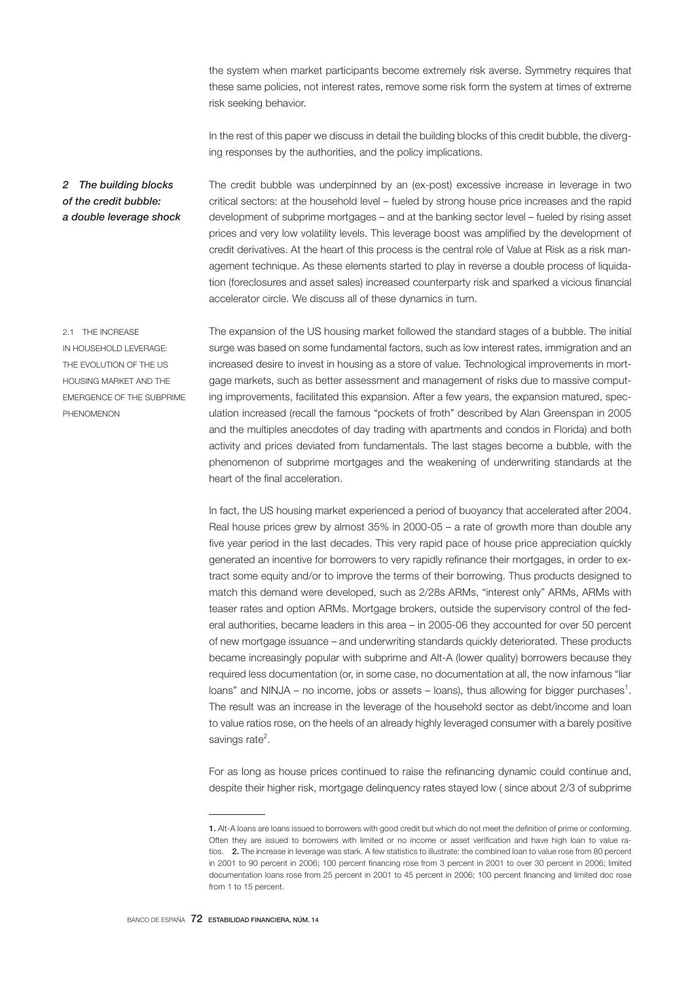the system when market participants become extremely risk averse. Symmetry requires that these same policies, not interest rates, remove some risk form the system at times of extreme risk seeking behavior.

In the rest of this paper we discuss in detail the building blocks of this credit bubble, the diverging responses by the authorities, and the policy implications.

The credit bubble was underpinned by an (ex-post) excessive increase in leverage in two critical sectors: at the household level – fueled by strong house price increases and the rapid development of subprime mortgages – and at the banking sector level – fueled by rising asset prices and very low volatility levels. This leverage boost was amplified by the development of credit derivatives. At the heart of this process is the central role of Value at Risk as a risk management technique. As these elements started to play in reverse a double process of liquidation (foreclosures and asset sales) increased counterparty risk and sparked a vicious financial accelerator circle. We discuss all of these dynamics in turn. *2 The building blocks of the credit bubble: a double leverage shock*

2.1 THE INCREASE IN HOUSEHOLD LEVERAGE: THE EVOLUTION OF THE US HOUSING MARKET AND THE EMERGENCE OF THE SUBPRIME PHENOMENON

The expansion of the US housing market followed the standard stages of a bubble. The initial surge was based on some fundamental factors, such as low interest rates, immigration and an increased desire to invest in housing as a store of value. Technological improvements in mortgage markets, such as better assessment and management of risks due to massive computing improvements, facilitated this expansion. After a few years, the expansion matured, speculation increased (recall the famous "pockets of froth" described by Alan Greenspan in 2005 and the multiples anecdotes of day trading with apartments and condos in Florida) and both activity and prices deviated from fundamentals. The last stages become a bubble, with the phenomenon of subprime mortgages and the weakening of underwriting standards at the heart of the final acceleration.

In fact, the US housing market experienced a period of buoyancy that accelerated after 2004. Real house prices grew by almost 35% in 2000-05 – a rate of growth more than double any five year period in the last decades. This very rapid pace of house price appreciation quickly generated an incentive for borrowers to very rapidly refinance their mortgages, in order to extract some equity and/or to improve the terms of their borrowing. Thus products designed to match this demand were developed, such as 2/28s ARMs, "interest only" ARMs, ARMs with teaser rates and option ARMs. Mortgage brokers, outside the supervisory control of the federal authorities, became leaders in this area – in 2005-06 they accounted for over 50 percent of new mortgage issuance – and underwriting standards quickly deteriorated. These products became increasingly popular with subprime and Alt-A (lower quality) borrowers because they required less documentation (or, in some case, no documentation at all, the now infamous "liar loans" and NINJA – no income, jobs or assets – loans), thus allowing for bigger purchases<sup>1</sup>. The result was an increase in the leverage of the household sector as debt/income and loan to value ratios rose, on the heels of an already highly leveraged consumer with a barely positive savings rate<sup>2</sup>.

For as long as house prices continued to raise the refinancing dynamic could continue and, despite their higher risk, mortgage delinquency rates stayed low ( since about 2/3 of subprime

<sup>1.</sup> Alt-A loans are loans issued to borrowers with good credit but which do not meet the definition of prime or conforming. Often they are issued to borrowers with limited or no income or asset verification and have high loan to value ratios. 2. The increase in leverage was stark. A few statistics to illustrate: the combined loan to value rose from 80 percent in 2001 to 90 percent in 2006; 100 percent financing rose from 3 percent in 2001 to over 30 percent in 2006; limited documentation loans rose from 25 percent in 2001 to 45 percent in 2006; 100 percent financing and limited doc rose from 1 to 15 percent.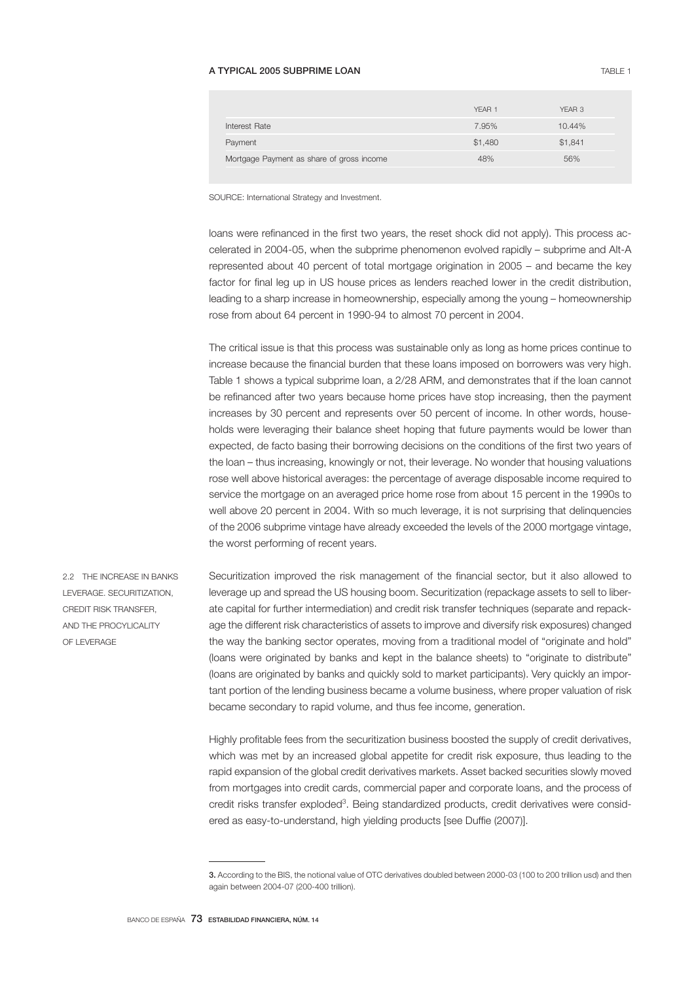### A TYPICAL 2005 SUBPRIME LOAN TABLE 1

|                                           | YFAR 1  | YFAR 3  |
|-------------------------------------------|---------|---------|
| Interest Rate                             | 7.95%   | 10.44%  |
| Payment                                   | \$1,480 | \$1,841 |
| Mortgage Payment as share of gross income | 48%     | 56%     |
|                                           |         |         |

SOURCE: International Strategy and Investment.

loans were refinanced in the first two years, the reset shock did not apply). This process accelerated in 2004-05, when the subprime phenomenon evolved rapidly – subprime and Alt-A represented about 40 percent of total mortgage origination in 2005 – and became the key factor for final leg up in US house prices as lenders reached lower in the credit distribution, leading to a sharp increase in homeownership, especially among the young – homeownership rose from about 64 percent in 1990-94 to almost 70 percent in 2004.

The critical issue is that this process was sustainable only as long as home prices continue to increase because the financial burden that these loans imposed on borrowers was very high. Table 1 shows a typical subprime loan, a 2/28 ARM, and demonstrates that if the loan cannot be refinanced after two years because home prices have stop increasing, then the payment increases by 30 percent and represents over 50 percent of income. In other words, households were leveraging their balance sheet hoping that future payments would be lower than expected, de facto basing their borrowing decisions on the conditions of the first two years of the loan – thus increasing, knowingly or not, their leverage. No wonder that housing valuations rose well above historical averages: the percentage of average disposable income required to service the mortgage on an averaged price home rose from about 15 percent in the 1990s to well above 20 percent in 2004. With so much leverage, it is not surprising that delinquencies of the 2006 subprime vintage have already exceeded the levels of the 2000 mortgage vintage, the worst performing of recent years.

2.2 THE INCREASE IN BANKS LEVERAGE. SECURITIZATION, CREDIT RISK TRANSFER, AND THE PROCYLICALITY OF LEVERAGE

Securitization improved the risk management of the financial sector, but it also allowed to leverage up and spread the US housing boom. Securitization (repackage assets to sell to liberate capital for further intermediation) and credit risk transfer techniques (separate and repackage the different risk characteristics of assets to improve and diversify risk exposures) changed the way the banking sector operates, moving from a traditional model of "originate and hold" (loans were originated by banks and kept in the balance sheets) to "originate to distribute" (loans are originated by banks and quickly sold to market participants). Very quickly an important portion of the lending business became a volume business, where proper valuation of risk became secondary to rapid volume, and thus fee income, generation.

Highly profitable fees from the securitization business boosted the supply of credit derivatives, which was met by an increased global appetite for credit risk exposure, thus leading to the rapid expansion of the global credit derivatives markets. Asset backed securities slowly moved from mortgages into credit cards, commercial paper and corporate loans, and the process of credit risks transfer exploded<sup>3</sup>. Being standardized products, credit derivatives were considered as easy-to-understand, high yielding products [see Duffie (2007)].

<sup>3.</sup> According to the BIS, the notional value of OTC derivatives doubled between 2000-03 (100 to 200 trillion usd) and then again between 2004-07 (200-400 trillion).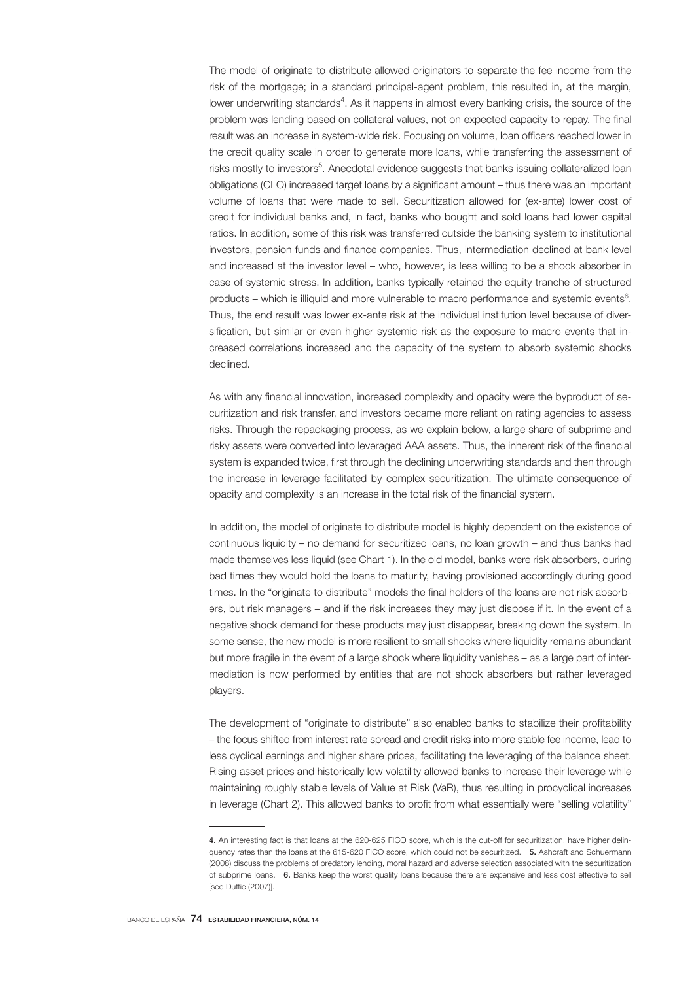The model of originate to distribute allowed originators to separate the fee income from the risk of the mortgage; in a standard principal-agent problem, this resulted in, at the margin, lower underwriting standards<sup>4</sup>. As it happens in almost every banking crisis, the source of the problem was lending based on collateral values, not on expected capacity to repay. The final result was an increase in system-wide risk. Focusing on volume, loan officers reached lower in the credit quality scale in order to generate more loans, while transferring the assessment of risks mostly to investors<sup>5</sup>. Anecdotal evidence suggests that banks issuing collateralized loan obligations (CLO) increased target loans by a significant amount – thus there was an important volume of loans that were made to sell. Securitization allowed for (ex-ante) lower cost of credit for individual banks and, in fact, banks who bought and sold loans had lower capital ratios. In addition, some of this risk was transferred outside the banking system to institutional investors, pension funds and finance companies. Thus, intermediation declined at bank level and increased at the investor level – who, however, is less willing to be a shock absorber in case of systemic stress. In addition, banks typically retained the equity tranche of structured products – which is illiquid and more vulnerable to macro performance and systemic events $^6$ . Thus, the end result was lower ex-ante risk at the individual institution level because of diversification, but similar or even higher systemic risk as the exposure to macro events that increased correlations increased and the capacity of the system to absorb systemic shocks declined.

As with any financial innovation, increased complexity and opacity were the byproduct of securitization and risk transfer, and investors became more reliant on rating agencies to assess risks. Through the repackaging process, as we explain below, a large share of subprime and risky assets were converted into leveraged AAA assets. Thus, the inherent risk of the financial system is expanded twice, first through the declining underwriting standards and then through the increase in leverage facilitated by complex securitization. The ultimate consequence of opacity and complexity is an increase in the total risk of the financial system.

In addition, the model of originate to distribute model is highly dependent on the existence of continuous liquidity – no demand for securitized loans, no loan growth – and thus banks had made themselves less liquid (see Chart 1). In the old model, banks were risk absorbers, during bad times they would hold the loans to maturity, having provisioned accordingly during good times. In the "originate to distribute" models the final holders of the loans are not risk absorbers, but risk managers – and if the risk increases they may just dispose if it. In the event of a negative shock demand for these products may just disappear, breaking down the system. In some sense, the new model is more resilient to small shocks where liquidity remains abundant but more fragile in the event of a large shock where liquidity vanishes – as a large part of intermediation is now performed by entities that are not shock absorbers but rather leveraged players.

The development of "originate to distribute" also enabled banks to stabilize their profitability – the focus shifted from interest rate spread and credit risks into more stable fee income, lead to less cyclical earnings and higher share prices, facilitating the leveraging of the balance sheet. Rising asset prices and historically low volatility allowed banks to increase their leverage while maintaining roughly stable levels of Value at Risk (VaR), thus resulting in procyclical increases in leverage (Chart 2). This allowed banks to profit from what essentially were "selling volatility"

<sup>4.</sup> An interesting fact is that loans at the 620-625 FICO score, which is the cut-off for securitization, have higher delinquency rates than the loans at the 615-620 FICO score, which could not be securitized. 5. Ashcraft and Schuermann (2008) discuss the problems of predatory lending, moral hazard and adverse selection associated with the securitization of subprime loans. 6. Banks keep the worst quality loans because there are expensive and less cost effective to sell [see Duffie (2007)].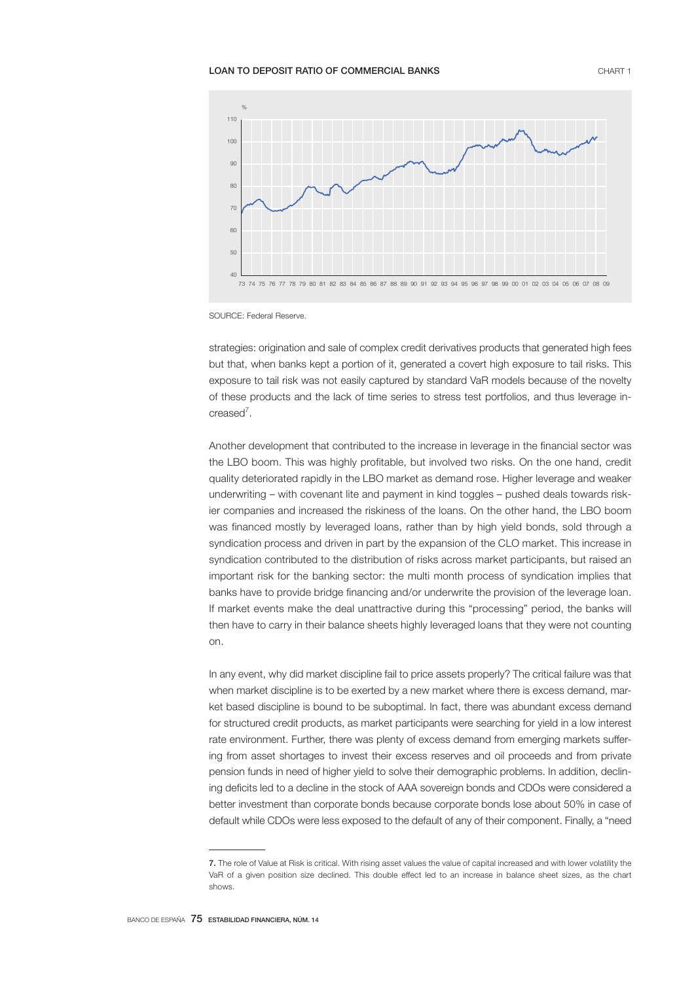### LOAN TO DEPOSIT RATIO OF COMMERCIAL BANKS **CHART 1** CHART 1



SOURCE: Federal Reserve.

strategies: origination and sale of complex credit derivatives products that generated high fees but that, when banks kept a portion of it, generated a covert high exposure to tail risks. This exposure to tail risk was not easily captured by standard VaR models because of the novelty of these products and the lack of time series to stress test portfolios, and thus leverage increased<sup>7</sup>.

Another development that contributed to the increase in leverage in the financial sector was the LBO boom. This was highly profitable, but involved two risks. On the one hand, credit quality deteriorated rapidly in the LBO market as demand rose. Higher leverage and weaker underwriting – with covenant lite and payment in kind toggles – pushed deals towards riskier companies and increased the riskiness of the loans. On the other hand, the LBO boom was financed mostly by leveraged loans, rather than by high yield bonds, sold through a syndication process and driven in part by the expansion of the CLO market. This increase in syndication contributed to the distribution of risks across market participants, but raised an important risk for the banking sector: the multi month process of syndication implies that banks have to provide bridge financing and/or underwrite the provision of the leverage loan. If market events make the deal unattractive during this "processing" period, the banks will then have to carry in their balance sheets highly leveraged loans that they were not counting on.

In any event, why did market discipline fail to price assets properly? The critical failure was that when market discipline is to be exerted by a new market where there is excess demand, market based discipline is bound to be suboptimal. In fact, there was abundant excess demand for structured credit products, as market participants were searching for yield in a low interest rate environment. Further, there was plenty of excess demand from emerging markets suffering from asset shortages to invest their excess reserves and oil proceeds and from private pension funds in need of higher yield to solve their demographic problems. In addition, declining deficits led to a decline in the stock of AAA sovereign bonds and CDOs were considered a better investment than corporate bonds because corporate bonds lose about 50% in case of default while CDOs were less exposed to the default of any of their component. Finally, a "need

<sup>7.</sup> The role of Value at Risk is critical. With rising asset values the value of capital increased and with lower volatility the VaR of a given position size declined. This double effect led to an increase in balance sheet sizes, as the chart shows.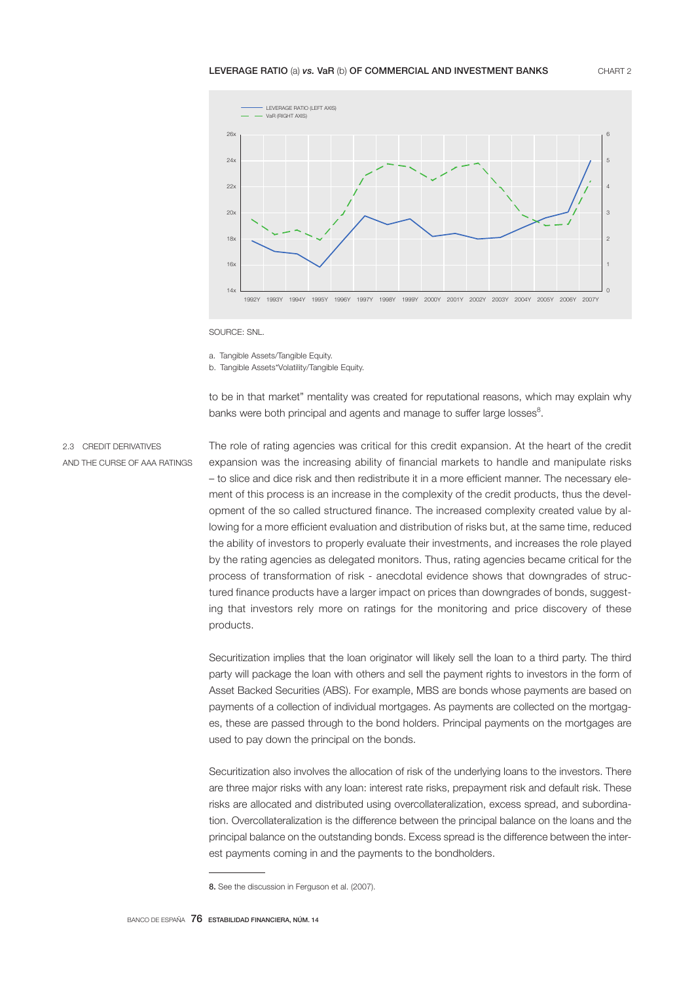#### LEVERAGE RATIO (a) vs. VaR (b) OF COMMERCIAL AND INVESTMENT BANKS CHART 2



SOURCE: SNL.

a. Tangible Assets/Tangible Equity.

b. Tangible Assets\*Volatility/Tangible Equity.

to be in that market" mentality was created for reputational reasons, which may explain why banks were both principal and agents and manage to suffer large losses $^{\rm 8}.$ 

2.3 CREDIT DERIVATIVES AND THE CURSE OF AAA RATINGS The role of rating agencies was critical for this credit expansion. At the heart of the credit expansion was the increasing ability of financial markets to handle and manipulate risks – to slice and dice risk and then redistribute it in a more efficient manner. The necessary element of this process is an increase in the complexity of the credit products, thus the development of the so called structured finance. The increased complexity created value by allowing for a more efficient evaluation and distribution of risks but, at the same time, reduced the ability of investors to properly evaluate their investments, and increases the role played by the rating agencies as delegated monitors. Thus, rating agencies became critical for the process of transformation of risk - anecdotal evidence shows that downgrades of structured finance products have a larger impact on prices than downgrades of bonds, suggesting that investors rely more on ratings for the monitoring and price discovery of these products.

Securitization implies that the loan originator will likely sell the loan to a third party. The third party will package the loan with others and sell the payment rights to investors in the form of Asset Backed Securities (ABS). For example, MBS are bonds whose payments are based on payments of a collection of individual mortgages. As payments are collected on the mortgages, these are passed through to the bond holders. Principal payments on the mortgages are used to pay down the principal on the bonds.

Securitization also involves the allocation of risk of the underlying loans to the investors. There are three major risks with any loan: interest rate risks, prepayment risk and default risk. These risks are allocated and distributed using overcollateralization, excess spread, and subordination. Overcollateralization is the difference between the principal balance on the loans and the principal balance on the outstanding bonds. Excess spread is the difference between the interest payments coming in and the payments to the bondholders.

<sup>8.</sup> See the discussion in Ferguson et al. (2007).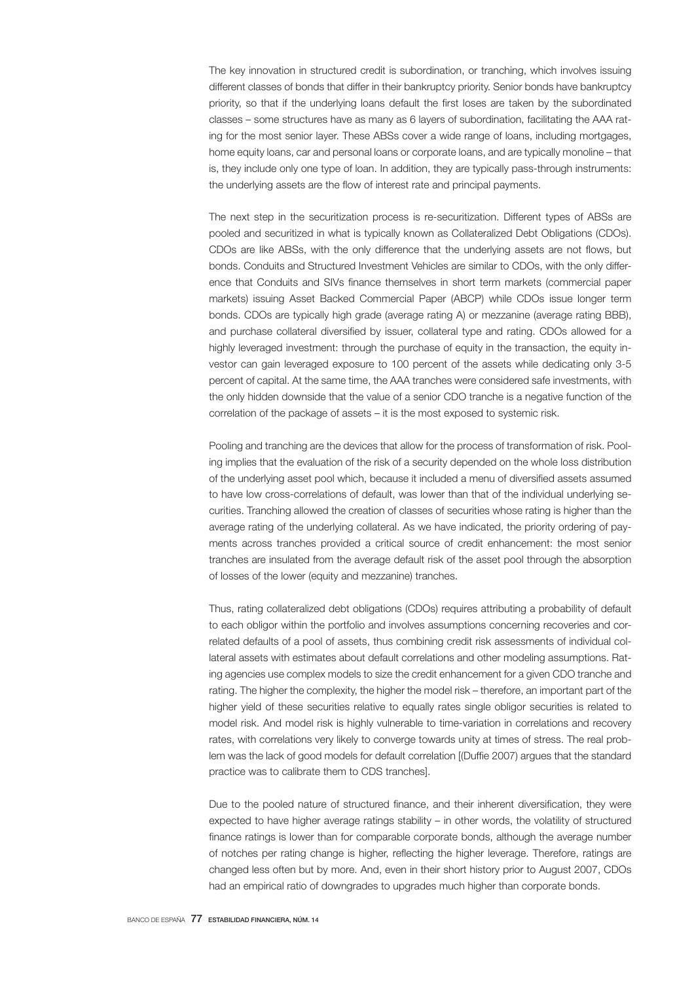The key innovation in structured credit is subordination, or tranching, which involves issuing different classes of bonds that differ in their bankruptcy priority. Senior bonds have bankruptcy priority, so that if the underlying loans default the first loses are taken by the subordinated classes – some structures have as many as 6 layers of subordination, facilitating the AAA rating for the most senior layer. These ABSs cover a wide range of loans, including mortgages, home equity loans, car and personal loans or corporate loans, and are typically monoline – that is, they include only one type of loan. In addition, they are typically pass-through instruments: the underlying assets are the flow of interest rate and principal payments.

The next step in the securitization process is re-securitization. Different types of ABSs are pooled and securitized in what is typically known as Collateralized Debt Obligations (CDOs). CDOs are like ABSs, with the only difference that the underlying assets are not flows, but bonds. Conduits and Structured Investment Vehicles are similar to CDOs, with the only difference that Conduits and SIVs finance themselves in short term markets (commercial paper markets) issuing Asset Backed Commercial Paper (ABCP) while CDOs issue longer term bonds. CDOs are typically high grade (average rating A) or mezzanine (average rating BBB), and purchase collateral diversified by issuer, collateral type and rating. CDOs allowed for a highly leveraged investment: through the purchase of equity in the transaction, the equity investor can gain leveraged exposure to 100 percent of the assets while dedicating only 3-5 percent of capital. At the same time, the AAA tranches were considered safe investments, with the only hidden downside that the value of a senior CDO tranche is a negative function of the correlation of the package of assets – it is the most exposed to systemic risk.

Pooling and tranching are the devices that allow for the process of transformation of risk. Pooling implies that the evaluation of the risk of a security depended on the whole loss distribution of the underlying asset pool which, because it included a menu of diversified assets assumed to have low cross-correlations of default, was lower than that of the individual underlying securities. Tranching allowed the creation of classes of securities whose rating is higher than the average rating of the underlying collateral. As we have indicated, the priority ordering of payments across tranches provided a critical source of credit enhancement: the most senior tranches are insulated from the average default risk of the asset pool through the absorption of losses of the lower (equity and mezzanine) tranches.

Thus, rating collateralized debt obligations (CDOs) requires attributing a probability of default to each obligor within the portfolio and involves assumptions concerning recoveries and correlated defaults of a pool of assets, thus combining credit risk assessments of individual collateral assets with estimates about default correlations and other modeling assumptions. Rating agencies use complex models to size the credit enhancement for a given CDO tranche and rating. The higher the complexity, the higher the model risk – therefore, an important part of the higher yield of these securities relative to equally rates single obligor securities is related to model risk. And model risk is highly vulnerable to time-variation in correlations and recovery rates, with correlations very likely to converge towards unity at times of stress. The real problem was the lack of good models for default correlation [(Duffie 2007) argues that the standard practice was to calibrate them to CDS tranches].

Due to the pooled nature of structured finance, and their inherent diversification, they were expected to have higher average ratings stability – in other words, the volatility of structured finance ratings is lower than for comparable corporate bonds, although the average number of notches per rating change is higher, reflecting the higher leverage. Therefore, ratings are changed less often but by more. And, even in their short history prior to August 2007, CDOs had an empirical ratio of downgrades to upgrades much higher than corporate bonds.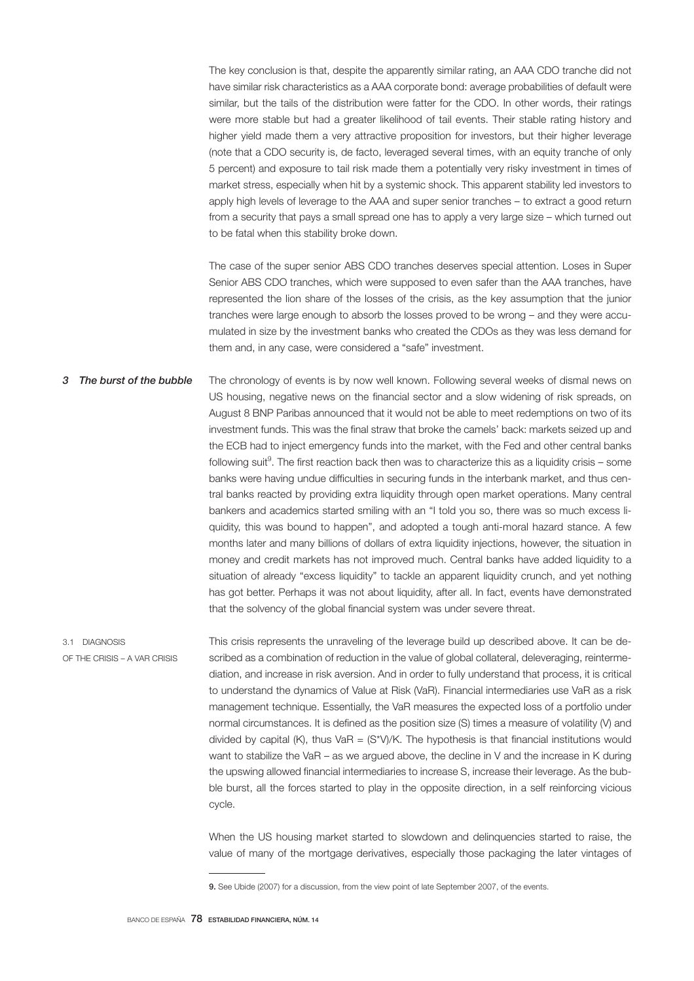The key conclusion is that, despite the apparently similar rating, an AAA CDO tranche did not have similar risk characteristics as a AAA corporate bond: average probabilities of default were similar, but the tails of the distribution were fatter for the CDO. In other words, their ratings were more stable but had a greater likelihood of tail events. Their stable rating history and higher yield made them a very attractive proposition for investors, but their higher leverage (note that a CDO security is, de facto, leveraged several times, with an equity tranche of only 5 percent) and exposure to tail risk made them a potentially very risky investment in times of market stress, especially when hit by a systemic shock. This apparent stability led investors to apply high levels of leverage to the AAA and super senior tranches – to extract a good return from a security that pays a small spread one has to apply a very large size – which turned out to be fatal when this stability broke down.

The case of the super senior ABS CDO tranches deserves special attention. Loses in Super Senior ABS CDO tranches, which were supposed to even safer than the AAA tranches, have represented the lion share of the losses of the crisis, as the key assumption that the junior tranches were large enough to absorb the losses proved to be wrong – and they were accumulated in size by the investment banks who created the CDOs as they was less demand for them and, in any case, were considered a "safe" investment.

The chronology of events is by now well known. Following several weeks of dismal news on US housing, negative news on the financial sector and a slow widening of risk spreads, on August 8 BNP Paribas announced that it would not be able to meet redemptions on two of its investment funds. This was the final straw that broke the camels' back: markets seized up and the ECB had to inject emergency funds into the market, with the Fed and other central banks following suit<sup>9</sup>. The first reaction back then was to characterize this as a liquidity crisis – some banks were having undue difficulties in securing funds in the interbank market, and thus central banks reacted by providing extra liquidity through open market operations. Many central bankers and academics started smiling with an "I told you so, there was so much excess liquidity, this was bound to happen", and adopted a tough anti-moral hazard stance. A few months later and many billions of dollars of extra liquidity injections, however, the situation in money and credit markets has not improved much. Central banks have added liquidity to a situation of already "excess liquidity" to tackle an apparent liquidity crunch, and yet nothing has got better. Perhaps it was not about liquidity, after all. In fact, events have demonstrated that the solvency of the global financial system was under severe threat. *3 The burst of the bubble*

3.1 DIAGNOSIS OF THE CRISIS – A VAR CRISIS This crisis represents the unraveling of the leverage build up described above. It can be described as a combination of reduction in the value of global collateral, deleveraging, reintermediation, and increase in risk aversion. And in order to fully understand that process, it is critical to understand the dynamics of Value at Risk (VaR). Financial intermediaries use VaR as a risk management technique. Essentially, the VaR measures the expected loss of a portfolio under normal circumstances. It is defined as the position size (S) times a measure of volatility (V) and divided by capital (K), thus VaR =  $(S^{\star}V)/K$ . The hypothesis is that financial institutions would want to stabilize the VaR – as we argued above, the decline in V and the increase in K during the upswing allowed financial intermediaries to increase S, increase their leverage. As the bubble burst, all the forces started to play in the opposite direction, in a self reinforcing vicious cycle.

When the US housing market started to slowdown and delinguencies started to raise, the value of many of the mortgage derivatives, especially those packaging the later vintages of

<sup>9.</sup> See Ubide (2007) for a discussion, from the view point of late September 2007, of the events.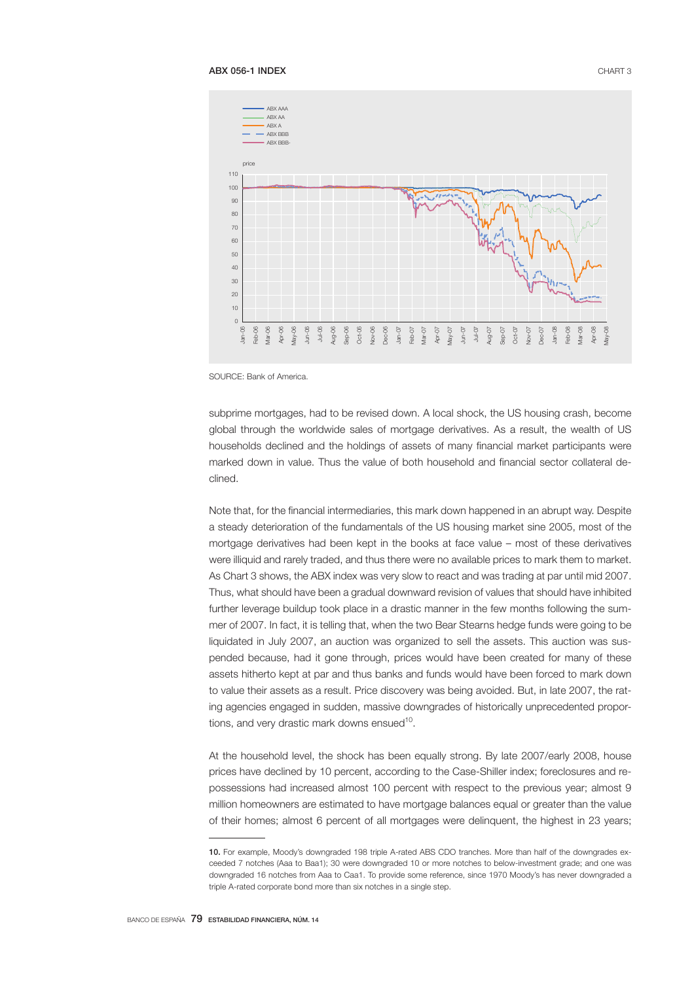

SOURCE: Bank of America.

subprime mortgages, had to be revised down. A local shock, the US housing crash, become global through the worldwide sales of mortgage derivatives. As a result, the wealth of US households declined and the holdings of assets of many financial market participants were marked down in value. Thus the value of both household and financial sector collateral declined.

Note that, for the financial intermediaries, this mark down happened in an abrupt way. Despite a steady deterioration of the fundamentals of the US housing market sine 2005, most of the mortgage derivatives had been kept in the books at face value – most of these derivatives were illiquid and rarely traded, and thus there were no available prices to mark them to market. As Chart 3 shows, the ABX index was very slow to react and was trading at par until mid 2007. Thus, what should have been a gradual downward revision of values that should have inhibited further leverage buildup took place in a drastic manner in the few months following the summer of 2007. In fact, it is telling that, when the two Bear Stearns hedge funds were going to be liquidated in July 2007, an auction was organized to sell the assets. This auction was suspended because, had it gone through, prices would have been created for many of these assets hitherto kept at par and thus banks and funds would have been forced to mark down to value their assets as a result. Price discovery was being avoided. But, in late 2007, the rating agencies engaged in sudden, massive downgrades of historically unprecedented proportions, and very drastic mark downs ensued<sup>10</sup>.

At the household level, the shock has been equally strong. By late 2007/early 2008, house prices have declined by 10 percent, according to the Case-Shiller index; foreclosures and repossessions had increased almost 100 percent with respect to the previous year; almost 9 million homeowners are estimated to have mortgage balances equal or greater than the value of their homes; almost 6 percent of all mortgages were delinquent, the highest in 23 years;

<sup>10.</sup> For example, Moody's downgraded 198 triple A-rated ABS CDO tranches. More than half of the downgrades exceeded 7 notches (Aaa to Baa1); 30 were downgraded 10 or more notches to below-investment grade; and one was downgraded 16 notches from Aaa to Caa1. To provide some reference, since 1970 Moody's has never downgraded a triple A-rated corporate bond more than six notches in a single step.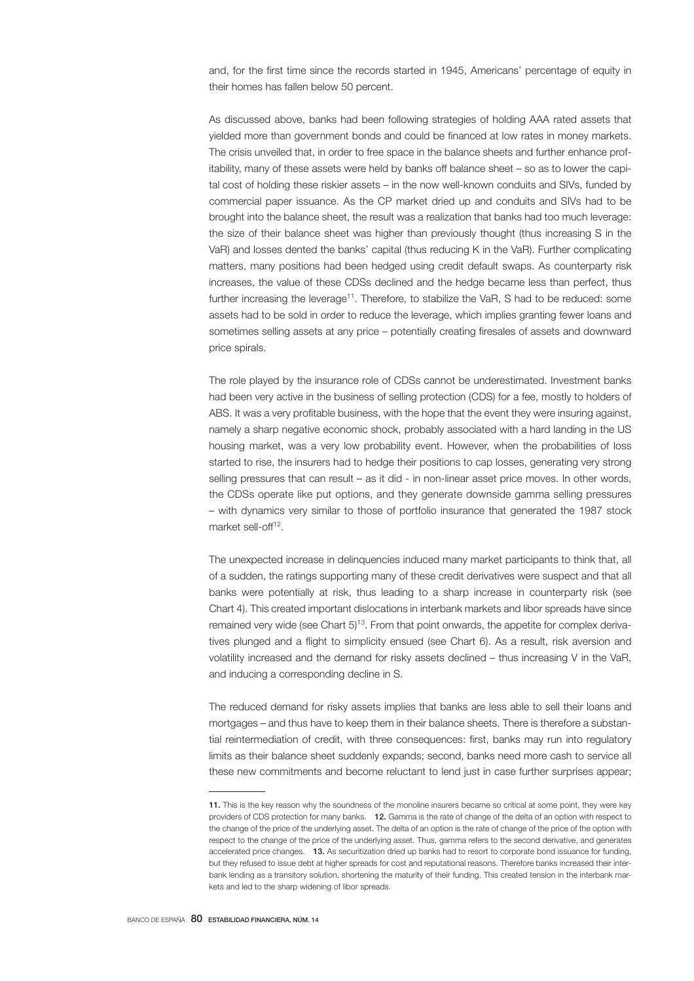and, for the first time since the records started in 1945, Americans' percentage of equity in their homes has fallen below 50 percent.

As discussed above, banks had been following strategies of holding AAA rated assets that yielded more than government bonds and could be financed at low rates in money markets. The crisis unveiled that, in order to free space in the balance sheets and further enhance profitability, many of these assets were held by banks off balance sheet – so as to lower the capital cost of holding these riskier assets – in the now well-known conduits and SIVs, funded by commercial paper issuance. As the CP market dried up and conduits and SIVs had to be brought into the balance sheet, the result was a realization that banks had too much leverage: the size of their balance sheet was higher than previously thought (thus increasing S in the VaR) and losses dented the banks' capital (thus reducing K in the VaR). Further complicating matters, many positions had been hedged using credit default swaps. As counterparty risk increases, the value of these CDSs declined and the hedge became less than perfect, thus further increasing the leverage<sup>11</sup>. Therefore, to stabilize the VaR, S had to be reduced: some assets had to be sold in order to reduce the leverage, which implies granting fewer loans and sometimes selling assets at any price – potentially creating firesales of assets and downward price spirals.

The role played by the insurance role of CDSs cannot be underestimated. Investment banks had been very active in the business of selling protection (CDS) for a fee, mostly to holders of ABS. It was a very profitable business, with the hope that the event they were insuring against, namely a sharp negative economic shock, probably associated with a hard landing in the US housing market, was a very low probability event. However, when the probabilities of loss started to rise, the insurers had to hedge their positions to cap losses, generating very strong selling pressures that can result – as it did - in non-linear asset price moves. In other words, the CDSs operate like put options, and they generate downside gamma selling pressures – with dynamics very similar to those of portfolio insurance that generated the 1987 stock market sell-off<sup>12</sup>.

The unexpected increase in delinquencies induced many market participants to think that, all of a sudden, the ratings supporting many of these credit derivatives were suspect and that all banks were potentially at risk, thus leading to a sharp increase in counterparty risk (see Chart 4). This created important dislocations in interbank markets and libor spreads have since remained very wide (see Chart  $5$ )<sup>13</sup>. From that point onwards, the appetite for complex derivatives plunged and a flight to simplicity ensued (see Chart 6). As a result, risk aversion and volatility increased and the demand for risky assets declined – thus increasing V in the VaR, and inducing a corresponding decline in S.

The reduced demand for risky assets implies that banks are less able to sell their loans and mortgages – and thus have to keep them in their balance sheets. There is therefore a substantial reintermediation of credit, with three consequences: first, banks may run into regulatory limits as their balance sheet suddenly expands; second, banks need more cash to service all these new commitments and become reluctant to lend just in case further surprises appear;

<sup>11.</sup> This is the key reason why the soundness of the monoline insurers became so critical at some point, they were key providers of CDS protection for many banks. 12. Gamma is the rate of change of the delta of an option with respect to the change of the price of the underlying asset. The delta of an option is the rate of change of the price of the option with respect to the change of the price of the underlying asset. Thus, gamma refers to the second derivative, and generates accelerated price changes. 13. As securitization dried up banks had to resort to corporate bond issuance for funding, but they refused to issue debt at higher spreads for cost and reputational reasons. Therefore banks increased their interbank lending as a transitory solution, shortening the maturity of their funding. This created tension in the interbank markets and led to the sharp widening of libor spreads.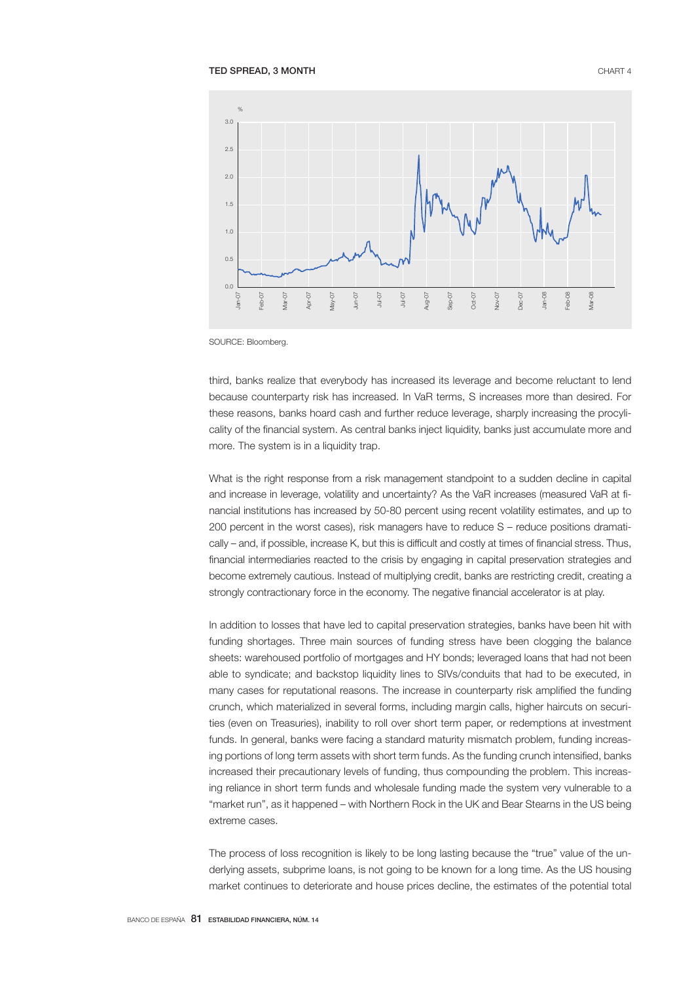#### TED SPREAD, 3 MONTH CHART 4



SOURCE: Bloomberg.

third, banks realize that everybody has increased its leverage and become reluctant to lend because counterparty risk has increased. In VaR terms, S increases more than desired. For these reasons, banks hoard cash and further reduce leverage, sharply increasing the procylicality of the financial system. As central banks inject liquidity, banks just accumulate more and more. The system is in a liquidity trap.

What is the right response from a risk management standpoint to a sudden decline in capital and increase in leverage, volatility and uncertainty? As the VaR increases (measured VaR at financial institutions has increased by 50-80 percent using recent volatility estimates, and up to 200 percent in the worst cases), risk managers have to reduce S – reduce positions dramatically – and, if possible, increase K, but this is difficult and costly at times of financial stress. Thus, financial intermediaries reacted to the crisis by engaging in capital preservation strategies and become extremely cautious. Instead of multiplying credit, banks are restricting credit, creating a strongly contractionary force in the economy. The negative financial accelerator is at play.

In addition to losses that have led to capital preservation strategies, banks have been hit with funding shortages. Three main sources of funding stress have been clogging the balance sheets: warehoused portfolio of mortgages and HY bonds; leveraged loans that had not been able to syndicate; and backstop liquidity lines to SIVs/conduits that had to be executed, in many cases for reputational reasons. The increase in counterparty risk amplified the funding crunch, which materialized in several forms, including margin calls, higher haircuts on securities (even on Treasuries), inability to roll over short term paper, or redemptions at investment funds. In general, banks were facing a standard maturity mismatch problem, funding increasing portions of long term assets with short term funds. As the funding crunch intensified, banks increased their precautionary levels of funding, thus compounding the problem. This increasing reliance in short term funds and wholesale funding made the system very vulnerable to a "market run", as it happened – with Northern Rock in the UK and Bear Stearns in the US being extreme cases.

The process of loss recognition is likely to be long lasting because the "true" value of the underlying assets, subprime loans, is not going to be known for a long time. As the US housing market continues to deteriorate and house prices decline, the estimates of the potential total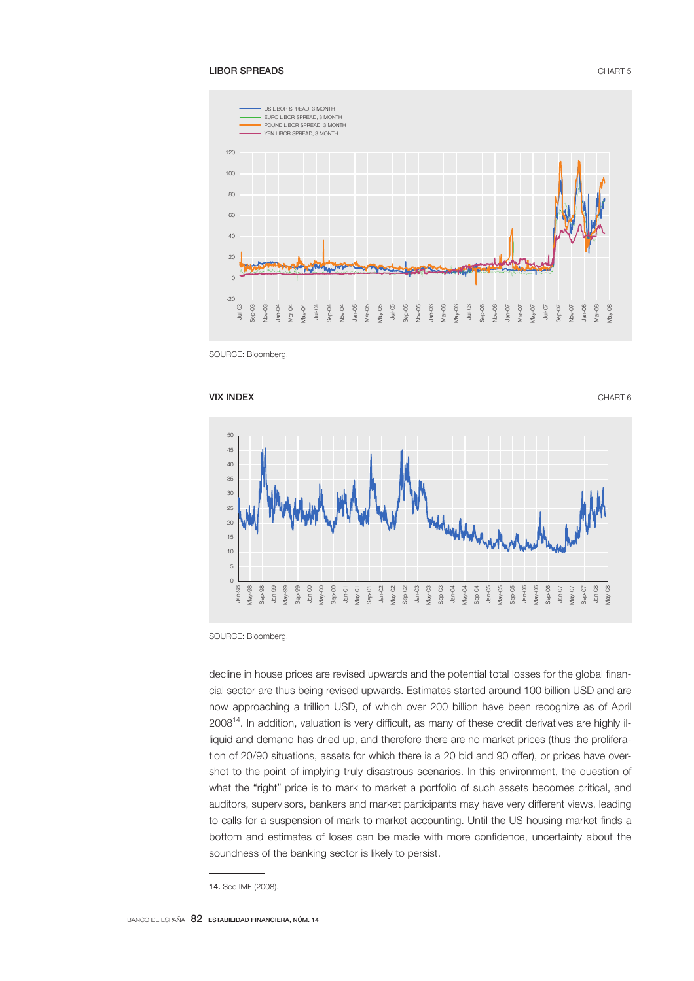## **LIBOR SPREADS** CHART 5



SOURCE: Bloomberg.



SOURCE: Bloomberg.

decline in house prices are revised upwards and the potential total losses for the global financial sector are thus being revised upwards. Estimates started around 100 billion USD and are now approaching a trillion USD, of which over 200 billion have been recognize as of April 200814. In addition, valuation is very difficult, as many of these credit derivatives are highly illiquid and demand has dried up, and therefore there are no market prices (thus the proliferation of 20/90 situations, assets for which there is a 20 bid and 90 offer), or prices have overshot to the point of implying truly disastrous scenarios. In this environment, the question of what the "right" price is to mark to market a portfolio of such assets becomes critical, and auditors, supervisors, bankers and market participants may have very different views, leading to calls for a suspension of mark to market accounting. Until the US housing market finds a bottom and estimates of loses can be made with more confidence, uncertainty about the soundness of the banking sector is likely to persist.

<sup>14.</sup> See IMF (2008).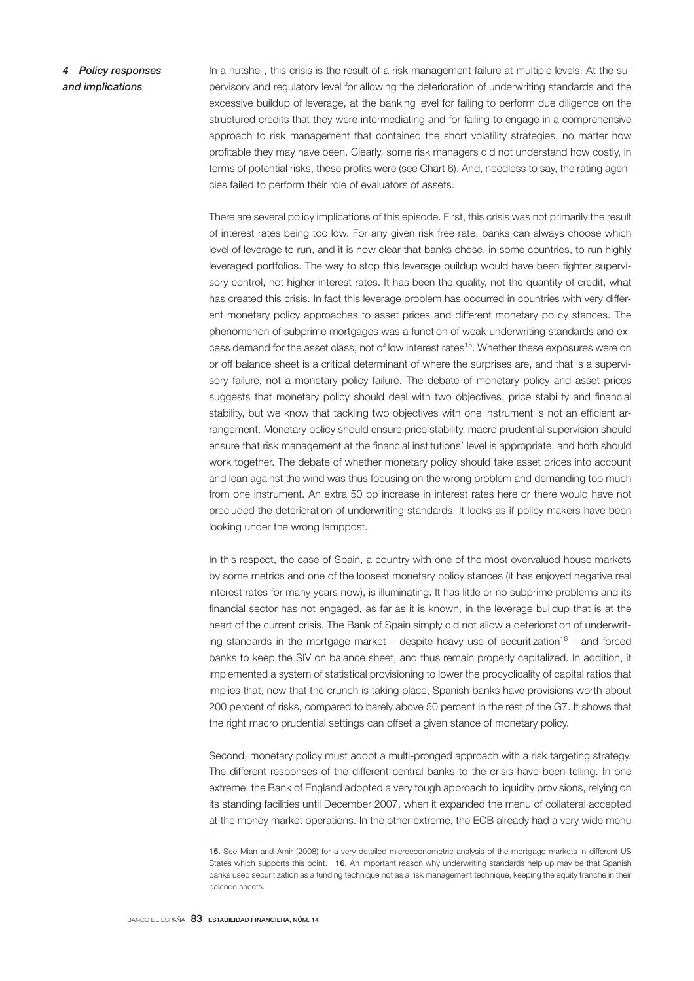*4 Policy responses and implications*

In a nutshell, this crisis is the result of a risk management failure at multiple levels. At the supervisory and regulatory level for allowing the deterioration of underwriting standards and the excessive buildup of leverage, at the banking level for failing to perform due diligence on the structured credits that they were intermediating and for failing to engage in a comprehensive approach to risk management that contained the short volatility strategies, no matter how profitable they may have been. Clearly, some risk managers did not understand how costly, in terms of potential risks, these profits were (see Chart 6). And, needless to say, the rating agencies failed to perform their role of evaluators of assets.

There are several policy implications of this episode. First, this crisis was not primarily the result of interest rates being too low. For any given risk free rate, banks can always choose which level of leverage to run, and it is now clear that banks chose, in some countries, to run highly leveraged portfolios. The way to stop this leverage buildup would have been tighter supervisory control, not higher interest rates. It has been the quality, not the quantity of credit, what has created this crisis. In fact this leverage problem has occurred in countries with very different monetary policy approaches to asset prices and different monetary policy stances. The phenomenon of subprime mortgages was a function of weak underwriting standards and excess demand for the asset class, not of low interest rates<sup>15</sup>. Whether these exposures were on or off balance sheet is a critical determinant of where the surprises are, and that is a supervisory failure, not a monetary policy failure. The debate of monetary policy and asset prices suggests that monetary policy should deal with two objectives, price stability and financial stability, but we know that tackling two objectives with one instrument is not an efficient arrangement. Monetary policy should ensure price stability, macro prudential supervision should ensure that risk management at the financial institutions' level is appropriate, and both should work together. The debate of whether monetary policy should take asset prices into account and lean against the wind was thus focusing on the wrong problem and demanding too much from one instrument. An extra 50 bp increase in interest rates here or there would have not precluded the deterioration of underwriting standards. It looks as if policy makers have been looking under the wrong lamppost.

In this respect, the case of Spain, a country with one of the most overvalued house markets by some metrics and one of the loosest monetary policy stances (it has enjoyed negative real interest rates for many years now), is illuminating. It has little or no subprime problems and its financial sector has not engaged, as far as it is known, in the leverage buildup that is at the heart of the current crisis. The Bank of Spain simply did not allow a deterioration of underwriting standards in the mortgage market – despite heavy use of securitization<sup>16</sup> – and forced banks to keep the SIV on balance sheet, and thus remain properly capitalized. In addition, it implemented a system of statistical provisioning to lower the procyclicality of capital ratios that implies that, now that the crunch is taking place, Spanish banks have provisions worth about 200 percent of risks, compared to barely above 50 percent in the rest of the G7. It shows that the right macro prudential settings can offset a given stance of monetary policy.

Second, monetary policy must adopt a multi-pronged approach with a risk targeting strategy. The different responses of the different central banks to the crisis have been telling. In one extreme, the Bank of England adopted a very tough approach to liquidity provisions, relying on its standing facilities until December 2007, when it expanded the menu of collateral accepted at the money market operations. In the other extreme, the ECB already had a very wide menu

<sup>15.</sup> See Mian and Amir (2008) for a very detailed microeconometric analysis of the mortgage markets in different US States which supports this point. 16. An important reason why underwriting standards help up may be that Spanish banks used securitization as a funding technique not as a risk management technique, keeping the equity tranche in their balance sheets.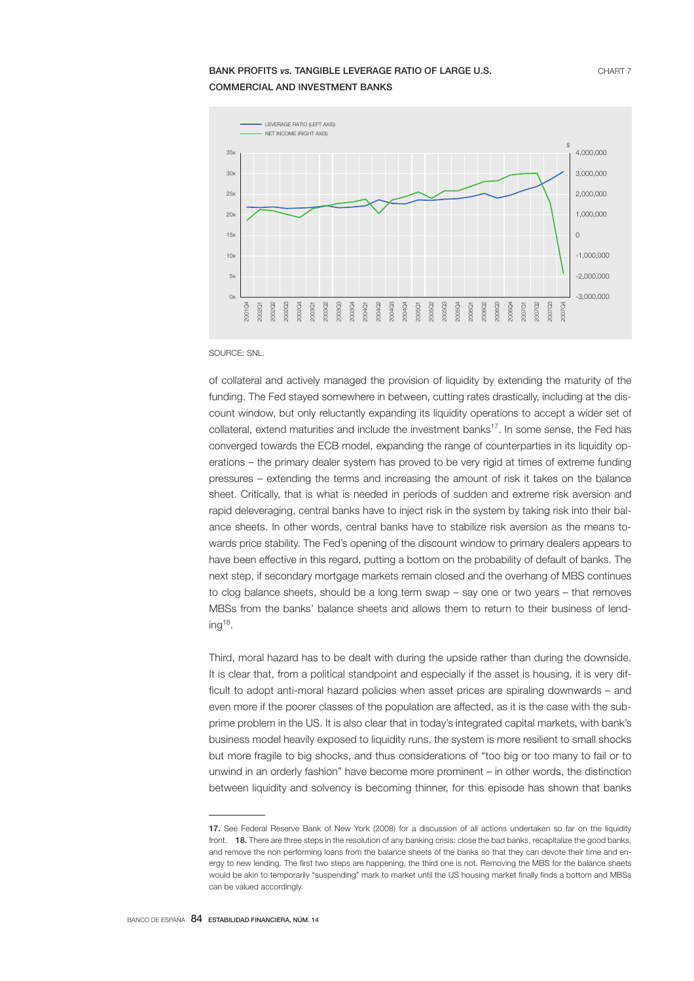# **BANK PROFITS** *vs.* TANGIBLE LEVERAGE RATIO OF LARGE U.S. **CHART 7** COMMERCIAL AND INVESTMENT BANKS



SOURCE: SNL.

of collateral and actively managed the provision of liquidity by extending the maturity of the funding. The Fed stayed somewhere in between, cutting rates drastically, including at the discount window, but only reluctantly expanding its liquidity operations to accept a wider set of collateral, extend maturities and include the investment banks17. In some sense, the Fed has converged towards the ECB model, expanding the range of counterparties in its liquidity operations – the primary dealer system has proved to be very rigid at times of extreme funding pressures – extending the terms and increasing the amount of risk it takes on the balance sheet. Critically, that is what is needed in periods of sudden and extreme risk aversion and rapid deleveraging, central banks have to inject risk in the system by taking risk into their balance sheets. In other words, central banks have to stabilize risk aversion as the means towards price stability. The Fed's opening of the discount window to primary dealers appears to have been effective in this regard, putting a bottom on the probability of default of banks. The next step, if secondary mortgage markets remain closed and the overhang of MBS continues to clog balance sheets, should be a long term swap – say one or two years – that removes MBSs from the banks' balance sheets and allows them to return to their business of lend $ing<sup>18</sup>$ .

Third, moral hazard has to be dealt with during the upside rather than during the downside. It is clear that, from a political standpoint and especially if the asset is housing, it is very difficult to adopt anti-moral hazard policies when asset prices are spiraling downwards – and even more if the poorer classes of the population are affected, as it is the case with the subprime problem in the US. It is also clear that in today's integrated capital markets, with bank's business model heavily exposed to liquidity runs, the system is more resilient to small shocks but more fragile to big shocks, and thus considerations of "too big or too many to fail or to unwind in an orderly fashion" have become more prominent – in other words, the distinction between liquidity and solvency is becoming thinner, for this episode has shown that banks

<sup>17.</sup> See Federal Reserve Bank of New York (2008) for a discussion of all actions undertaken so far on the liquidity front. 18. There are three steps in the resolution of any banking crisis: close the bad banks, recapitalize the good banks, and remove the non performing loans from the balance sheets of the banks so that they can devote their time and energy to new lending. The first two steps are happening, the third one is not. Removing the MBS for the balance sheets would be akin to temporarily "suspending" mark to market until the US housing market finally finds a bottom and MBSs can be valued accordingly.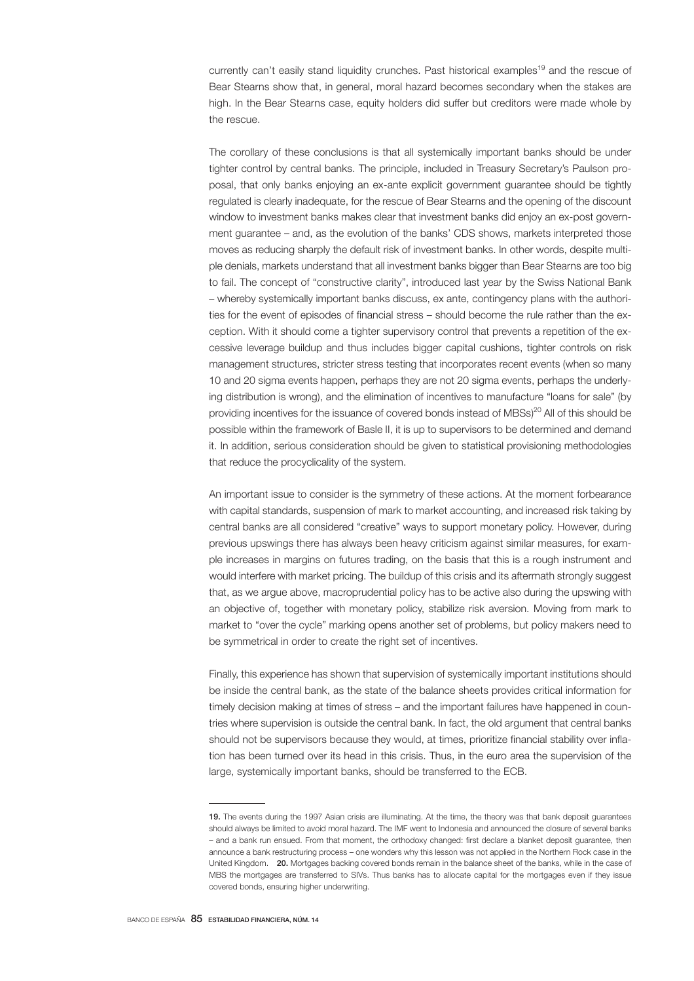currently can't easily stand liquidity crunches. Past historical examples<sup>19</sup> and the rescue of Bear Stearns show that, in general, moral hazard becomes secondary when the stakes are high. In the Bear Stearns case, equity holders did suffer but creditors were made whole by the rescue.

The corollary of these conclusions is that all systemically important banks should be under tighter control by central banks. The principle, included in Treasury Secretary's Paulson proposal, that only banks enjoying an ex-ante explicit government guarantee should be tightly regulated is clearly inadequate, for the rescue of Bear Stearns and the opening of the discount window to investment banks makes clear that investment banks did enjoy an ex-post government guarantee – and, as the evolution of the banks' CDS shows, markets interpreted those moves as reducing sharply the default risk of investment banks. In other words, despite multiple denials, markets understand that all investment banks bigger than Bear Stearns are too big to fail. The concept of "constructive clarity", introduced last year by the Swiss National Bank – whereby systemically important banks discuss, ex ante, contingency plans with the authorities for the event of episodes of financial stress – should become the rule rather than the exception. With it should come a tighter supervisory control that prevents a repetition of the excessive leverage buildup and thus includes bigger capital cushions, tighter controls on risk management structures, stricter stress testing that incorporates recent events (when so many 10 and 20 sigma events happen, perhaps they are not 20 sigma events, perhaps the underlying distribution is wrong), and the elimination of incentives to manufacture "loans for sale" (by providing incentives for the issuance of covered bonds instead of MBSs)<sup>20</sup> All of this should be possible within the framework of Basle II, it is up to supervisors to be determined and demand it. In addition, serious consideration should be given to statistical provisioning methodologies that reduce the procyclicality of the system.

An important issue to consider is the symmetry of these actions. At the moment forbearance with capital standards, suspension of mark to market accounting, and increased risk taking by central banks are all considered "creative" ways to support monetary policy. However, during previous upswings there has always been heavy criticism against similar measures, for example increases in margins on futures trading, on the basis that this is a rough instrument and would interfere with market pricing. The buildup of this crisis and its aftermath strongly suggest that, as we argue above, macroprudential policy has to be active also during the upswing with an objective of, together with monetary policy, stabilize risk aversion. Moving from mark to market to "over the cycle" marking opens another set of problems, but policy makers need to be symmetrical in order to create the right set of incentives.

Finally, this experience has shown that supervision of systemically important institutions should be inside the central bank, as the state of the balance sheets provides critical information for timely decision making at times of stress – and the important failures have happened in countries where supervision is outside the central bank. In fact, the old argument that central banks should not be supervisors because they would, at times, prioritize financial stability over inflation has been turned over its head in this crisis. Thus, in the euro area the supervision of the large, systemically important banks, should be transferred to the ECB.

<sup>19.</sup> The events during the 1997 Asian crisis are illuminating. At the time, the theory was that bank deposit guarantees should always be limited to avoid moral hazard. The IMF went to Indonesia and announced the closure of several banks – and a bank run ensued. From that moment, the orthodoxy changed: first declare a blanket deposit guarantee, then announce a bank restructuring process – one wonders why this lesson was not applied in the Northern Rock case in the United Kingdom. 20. Mortgages backing covered bonds remain in the balance sheet of the banks, while in the case of MBS the mortgages are transferred to SIVs. Thus banks has to allocate capital for the mortgages even if they issue covered bonds, ensuring higher underwriting.